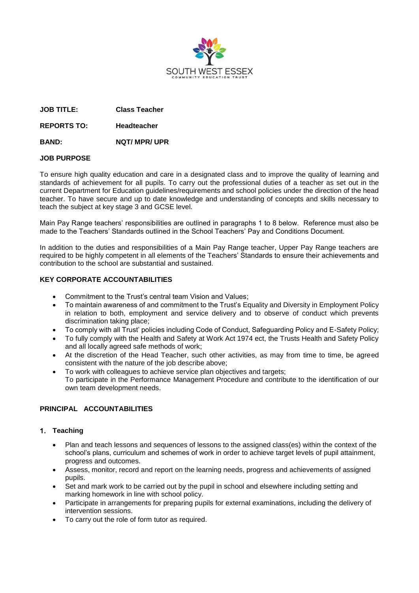

**JOB TITLE: Class Teacher**

**REPORTS TO: Headteacher**

**BAND: NQT/ MPR/ UPR**

### **JOB PURPOSE**

To ensure high quality education and care in a designated class and to improve the quality of learning and standards of achievement for all pupils. To carry out the professional duties of a teacher as set out in the current Department for Education guidelines/requirements and school policies under the direction of the head teacher. To have secure and up to date knowledge and understanding of concepts and skills necessary to teach the subject at key stage 3 and GCSE level.

Main Pay Range teachers' responsibilities are outlined in paragraphs 1 to 8 below. Reference must also be made to the Teachers' Standards outlined in the School Teachers' Pay and Conditions Document.

In addition to the duties and responsibilities of a Main Pay Range teacher, Upper Pay Range teachers are required to be highly competent in all elements of the Teachers' Standards to ensure their achievements and contribution to the school are substantial and sustained.

### **KEY CORPORATE ACCOUNTABILITIES**

- Commitment to the Trust's central team Vision and Values;
- To maintain awareness of and commitment to the Trust's Equality and Diversity in Employment Policy in relation to both, employment and service delivery and to observe of conduct which prevents discrimination taking place;
- To comply with all Trust' policies including Code of Conduct, Safeguarding Policy and E-Safety Policy;
- To fully comply with the Health and Safety at Work Act 1974 ect, the Trusts Health and Safety Policy and all locally agreed safe methods of work;
- At the discretion of the Head Teacher, such other activities, as may from time to time, be agreed consistent with the nature of the job describe above;
- To work with colleagues to achieve service plan objectives and targets; To participate in the Performance Management Procedure and contribute to the identification of our own team development needs.

# **PRINCIPAL ACCOUNTABILITIES**

# **Teaching**

- Plan and teach lessons and sequences of lessons to the assigned class(es) within the context of the school's plans, curriculum and schemes of work in order to achieve target levels of pupil attainment, progress and outcomes.
- Assess, monitor, record and report on the learning needs, progress and achievements of assigned pupils.
- Set and mark work to be carried out by the pupil in school and elsewhere including setting and marking homework in line with school policy.
- Participate in arrangements for preparing pupils for external examinations, including the delivery of intervention sessions.
- To carry out the role of form tutor as required.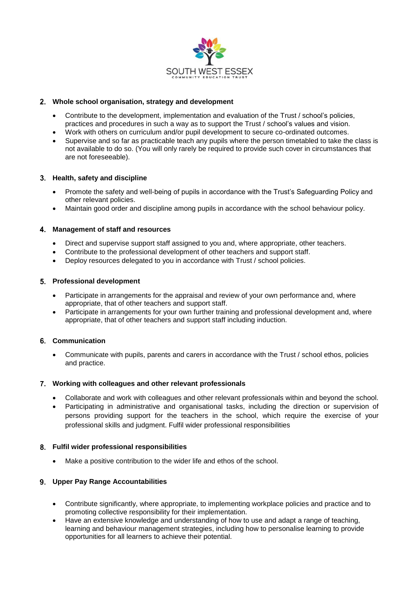

# **Whole school organisation, strategy and development**

- Contribute to the development, implementation and evaluation of the Trust / school's policies, practices and procedures in such a way as to support the Trust / school's values and vision.
- Work with others on curriculum and/or pupil development to secure co-ordinated outcomes.
- Supervise and so far as practicable teach any pupils where the person timetabled to take the class is not available to do so. (You will only rarely be required to provide such cover in circumstances that are not foreseeable).

### **Health, safety and discipline**

- Promote the safety and well-being of pupils in accordance with the Trust's Safeguarding Policy and other relevant policies.
- Maintain good order and discipline among pupils in accordance with the school behaviour policy.

### **Management of staff and resources**

- Direct and supervise support staff assigned to you and, where appropriate, other teachers.
- Contribute to the professional development of other teachers and support staff.
- Deploy resources delegated to you in accordance with Trust / school policies.

### **Professional development**

- Participate in arrangements for the appraisal and review of your own performance and, where appropriate, that of other teachers and support staff.
- Participate in arrangements for your own further training and professional development and, where appropriate, that of other teachers and support staff including induction.

# **Communication**

 Communicate with pupils, parents and carers in accordance with the Trust / school ethos, policies and practice.

#### **Working with colleagues and other relevant professionals**

- Collaborate and work with colleagues and other relevant professionals within and beyond the school.
- Participating in administrative and organisational tasks, including the direction or supervision of persons providing support for the teachers in the school, which require the exercise of your professional skills and judgment. Fulfil wider professional responsibilities

#### **Fulfil wider professional responsibilities**

Make a positive contribution to the wider life and ethos of the school.

# **Upper Pay Range Accountabilities**

- Contribute significantly, where appropriate, to implementing workplace policies and practice and to promoting collective responsibility for their implementation.
- Have an extensive knowledge and understanding of how to use and adapt a range of teaching, learning and behaviour management strategies, including how to personalise learning to provide opportunities for all learners to achieve their potential.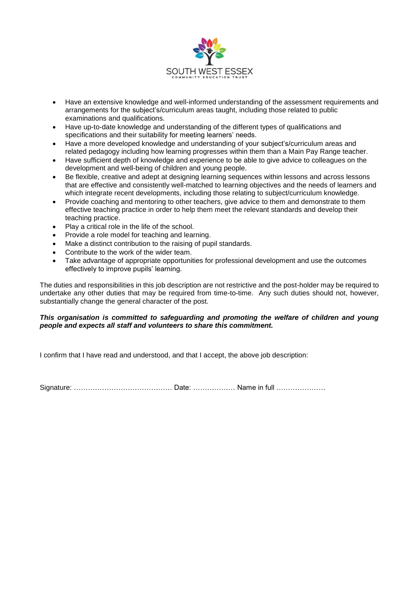

- Have an extensive knowledge and well-informed understanding of the assessment requirements and arrangements for the subject's/curriculum areas taught, including those related to public examinations and qualifications.
- Have up-to-date knowledge and understanding of the different types of qualifications and specifications and their suitability for meeting learners' needs.
- Have a more developed knowledge and understanding of your subject's/curriculum areas and related pedagogy including how learning progresses within them than a Main Pay Range teacher.
- Have sufficient depth of knowledge and experience to be able to give advice to colleagues on the development and well-being of children and young people.
- Be flexible, creative and adept at designing learning sequences within lessons and across lessons that are effective and consistently well-matched to learning objectives and the needs of learners and which integrate recent developments, including those relating to subject/curriculum knowledge.
- Provide coaching and mentoring to other teachers, give advice to them and demonstrate to them effective teaching practice in order to help them meet the relevant standards and develop their teaching practice.
- Play a critical role in the life of the school.
- Provide a role model for teaching and learning.
- Make a distinct contribution to the raising of pupil standards.
- Contribute to the work of the wider team.
- Take advantage of appropriate opportunities for professional development and use the outcomes effectively to improve pupils' learning.

The duties and responsibilities in this job description are not restrictive and the post-holder may be required to undertake any other duties that may be required from time-to-time. Any such duties should not, however, substantially change the general character of the post.

# *This organisation is committed to safeguarding and promoting the welfare of children and young people and expects all staff and volunteers to share this commitment.*

I confirm that I have read and understood, and that I accept, the above job description:

Signature: …………………………………… Date: ……………… Name in full …………………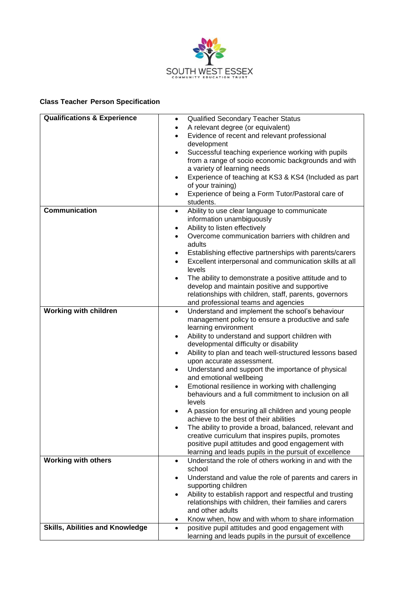

## **Class Teacher Person Specification**

| <b>Qualifications &amp; Experience</b> | <b>Qualified Secondary Teacher Status</b><br>$\bullet$                      |
|----------------------------------------|-----------------------------------------------------------------------------|
|                                        | A relevant degree (or equivalent)<br>$\bullet$                              |
|                                        | Evidence of recent and relevant professional<br>$\bullet$                   |
|                                        | development                                                                 |
|                                        | Successful teaching experience working with pupils<br>$\bullet$             |
|                                        | from a range of socio economic backgrounds and with                         |
|                                        | a variety of learning needs                                                 |
|                                        | Experience of teaching at KS3 & KS4 (Included as part<br>$\bullet$          |
|                                        | of your training)                                                           |
|                                        | Experience of being a Form Tutor/Pastoral care of<br>$\bullet$              |
|                                        | students.                                                                   |
| <b>Communication</b>                   | Ability to use clear language to communicate<br>$\bullet$                   |
|                                        | information unambiguously                                                   |
|                                        | Ability to listen effectively<br>$\bullet$                                  |
|                                        | Overcome communication barriers with children and                           |
|                                        | adults                                                                      |
|                                        | Establishing effective partnerships with parents/carers<br>$\bullet$        |
|                                        | Excellent interpersonal and communication skills at all<br>$\bullet$        |
|                                        | levels                                                                      |
|                                        | The ability to demonstrate a positive attitude and to<br>$\bullet$          |
|                                        | develop and maintain positive and supportive                                |
|                                        | relationships with children, staff, parents, governors                      |
|                                        | and professional teams and agencies                                         |
| <b>Working with children</b>           | Understand and implement the school's behaviour<br>$\bullet$                |
|                                        | management policy to ensure a productive and safe                           |
|                                        | learning environment                                                        |
|                                        | Ability to understand and support children with<br>$\bullet$                |
|                                        | developmental difficulty or disability                                      |
|                                        | Ability to plan and teach well-structured lessons based<br>$\bullet$        |
|                                        | upon accurate assessment.                                                   |
|                                        | Understand and support the importance of physical<br>$\bullet$              |
|                                        | and emotional wellbeing<br>Emotional resilience in working with challenging |
|                                        | behaviours and a full commitment to inclusion on all                        |
|                                        | levels                                                                      |
|                                        | A passion for ensuring all children and young people                        |
|                                        | achieve to the best of their abilities                                      |
|                                        | The ability to provide a broad, balanced, relevant and                      |
|                                        | creative curriculum that inspires pupils, promotes                          |
|                                        | positive pupil attitudes and good engagement with                           |
|                                        | learning and leads pupils in the pursuit of excellence                      |
| <b>Working with others</b>             | Understand the role of others working in and with the<br>٠                  |
|                                        | school                                                                      |
|                                        | Understand and value the role of parents and carers in<br>٠                 |
|                                        | supporting children                                                         |
|                                        | Ability to establish rapport and respectful and trusting<br>$\bullet$       |
|                                        | relationships with children, their families and carers                      |
|                                        | and other adults                                                            |
|                                        | Know when, how and with whom to share information<br>٠                      |
| <b>Skills, Abilities and Knowledge</b> | positive pupil attitudes and good engagement with<br>$\bullet$              |
|                                        | learning and leads pupils in the pursuit of excellence                      |